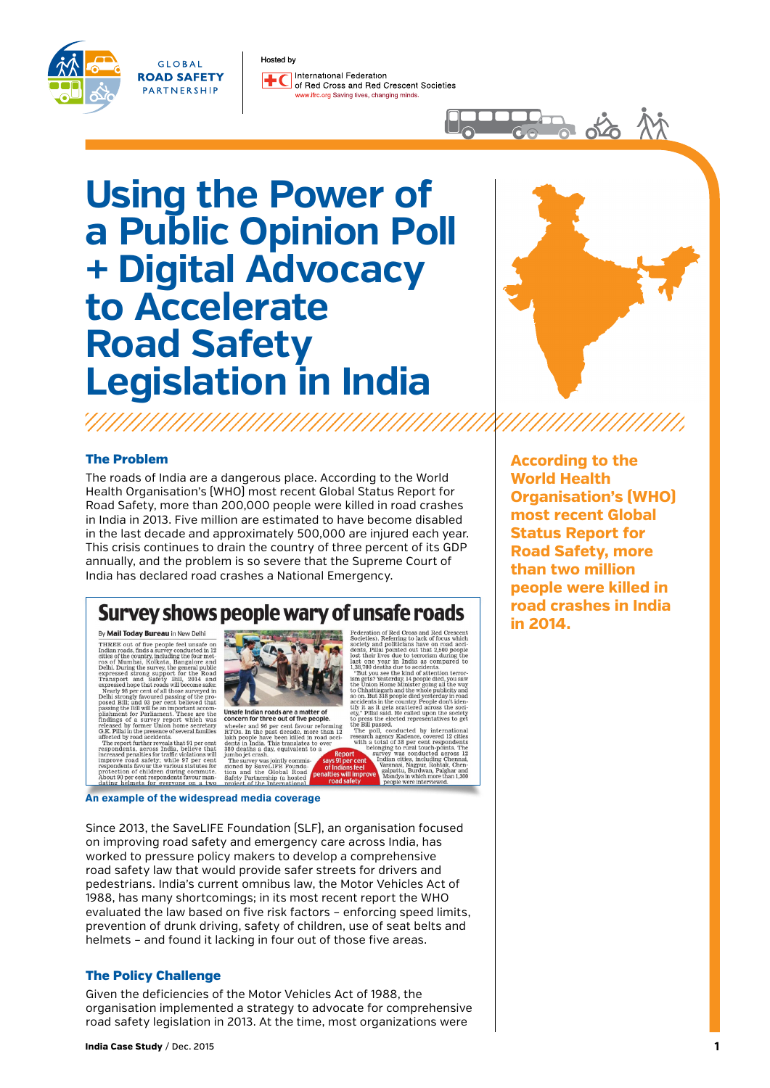#### Hosted by



GLOBAL

**ROAD SAFETY** 

PARTNERSHIP

International Federation  $+$  $\epsilon$ of Bed Cross and Bed Crescent Societies www.ifrc.org Saving lives, changing minds.

# **Using the Power of a Public Opinion Poll + Digital Advocacy to Accelerate Road Safety Legislation in India**



品论

### The Problem

The roads of India are a dangerous place. According to the World Health Organisation's (WHO) most recent Global Status Report for Road Safety, more than 200,000 people were killed in road crashes in India in 2013. Five million are estimated to have become disabled in the last decade and approximately 500,000 are injured each year. This crisis continues to drain the country of three percent of its GDP annually, and the problem is so severe that the Supreme Court of India has declared road crashes a National Emergency.

### Survey shows people wary of unsafe roads

By **Mail Today Bureau** in New Delhi<br>
THREE out of five people feel unsafe on the people feel unsafe on the country, including the four method on the wides of the country and people in the wides of the wides of the wides of

**By Mail Today Bureau in New Delhi** 



Unsafe Indian roads are a matter of<br>concern for three out of five people.<br>wheeler and  $96$  per cent favour reform<br> $RTOS$ . In the past decade, more than<br>labh neople have been killed in road se past decade, mo<br>ve been killed in<br>This translates dents in<br>380 deati<br>jumbo jet<br>The surv ndia. This translates to the

jumbo jet crash.<br>The survey was jointly commis-<br>sioned by SaveLIFE Founda-<br>tion and the Global Road<br>Safety Partnership (a hosted<br>project of the International

Pederation of Red Cross and Red Cressent<br>Societies), Referring to lack of focus which<br>societies), Referring to lack of focus which<br>dents, Pillai pointed out that 2,500 people<br>destine lives due to terorism during the<br>social But you see the kind of attention terror<br>is greated as properties and the Union Home Minister going all the way<br>Chhattisgarh and the whole publicity and Chhattisgarh and the whole publicity and<br>on. But 318 people died yest ;" Pillai said. He called u<br>press the elected repres:<br>: Bill passed. asseu.<br>11, conducted by internationa

The poll, conducted by intermal<br>research agency Kadence, covered 12 with a total of 38 per eent response<br>belonging to rural touch-points belonging to rural touch-points<br>recently was conducted across the final matrix in the

Since 2013, the SaveLIFE Foundation (SLF), an organisation focused on improving road safety and emergency care across India, has worked to pressure policy makers to develop a comprehensive road safety law that would provide safer streets for drivers and pedestrians. India's current omnibus law, the Motor Vehicles Act of 1988, has many shortcomings; in its most recent report the WHO evaluated the law based on five risk factors – enforcing speed limits, prevention of drunk driving, safety of children, use of seat belts and helmets – and found it lacking in four out of those five areas.

### The Policy Challenge

Given the deficiencies of the Motor Vehicles Act of 1988, the organisation implemented a strategy to advocate for comprehensive road safety legislation in 2013. At the time, most organizations were

**According to the World Health Organisation's (WHO) most recent Global Status Report for Road Safety, more than two million people were killed in road crashes in India in 2014.**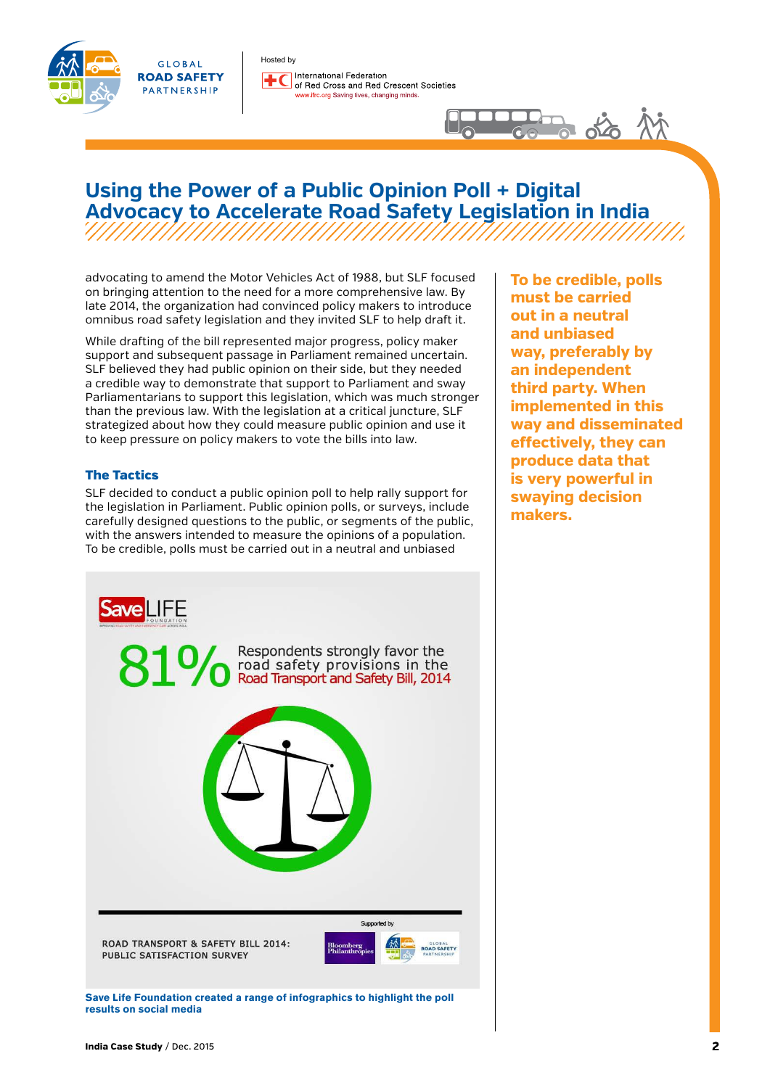



Hosted by International Federation of Bed Cross and Bed Crescent Societies w.ifrc.org Saving lives, changing minds.

## **Using the Power of a Public Opinion Poll + Digital Advocacy to Accelerate Road Safety Legislation in India**

advocating to amend the Motor Vehicles Act of 1988, but SLF focused on bringing attention to the need for a more comprehensive law. By late 2014, the organization had convinced policy makers to introduce omnibus road safety legislation and they invited SLF to help draft it.

While drafting of the bill represented major progress, policy maker support and subsequent passage in Parliament remained uncertain. SLF believed they had public opinion on their side, but they needed a credible way to demonstrate that support to Parliament and sway Parliamentarians to support this legislation, which was much stronger than the previous law. With the legislation at a critical juncture, SLF strategized about how they could measure public opinion and use it to keep pressure on policy makers to vote the bills into law.

### The Tactics

SLF decided to conduct a public opinion poll to help rally support for the legislation in Parliament. Public opinion polls, or surveys, include carefully designed questions to the public, or segments of the public, with the answers intended to measure the opinions of a population. To be credible, polls must be carried out in a neutral and unbiased



**Save Life Foundation created a range of infographics to highlight the poll results on social media**

**To be credible, polls must be carried out in a neutral and unbiased way, preferably by an independent third party. When implemented in this way and disseminated effectively, they can produce data that is very powerful in swaying decision makers.** 

 $\frac{1}{2}$   $\frac{1}{2}$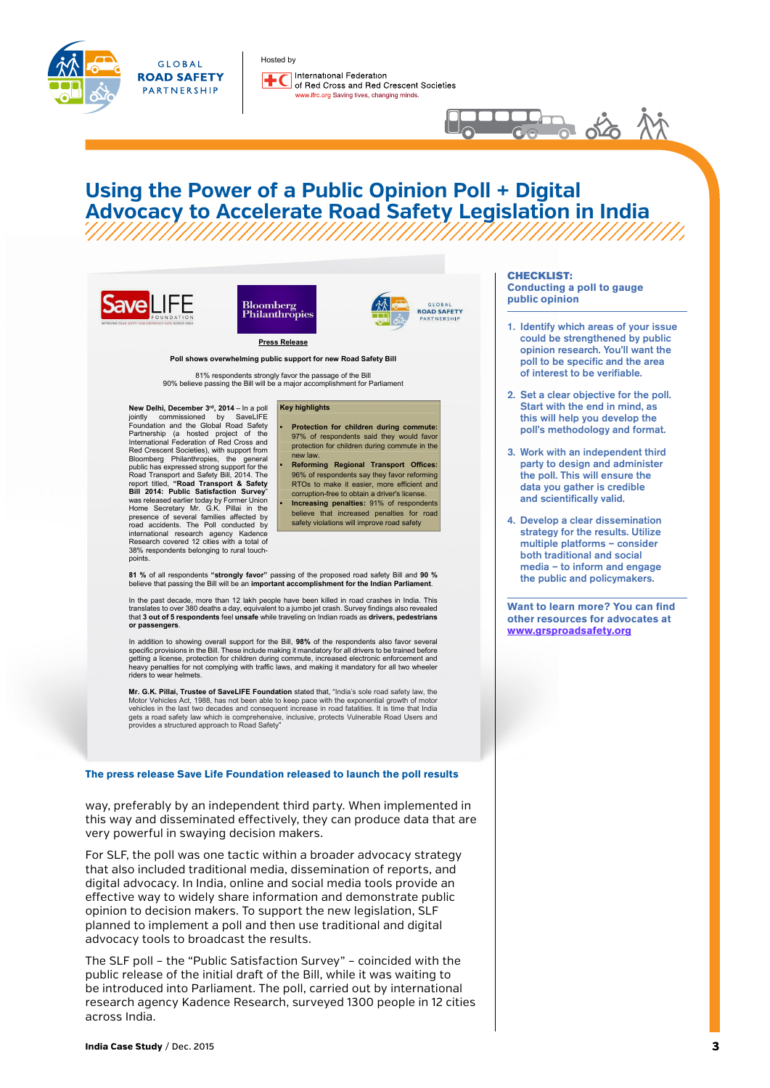

**GLOBAL ROAD SAFETY** PARTNERSHIP

Hosted by International Federation  $+$  $\epsilon$ of Red Cross and Red Crescent Societies w.ifrc.org Saving lives, changing minds.

## **Using the Power of a Public Opinion Poll + Digital Advocacy to Accelerate Road Safety Legislation in India**

**▪ Protection for children during commute:** 97% of respondents said they would favor protection for children during commute in the

**▪ Reforming Regional Transport Offices:** 96% of respondents say they favor reforming RTOs to make it easier, more efficient and corruption-free to obtain a driver's license. **▪ Increasing penalties:** 91% of respondents believe that increased penalties for road safety violations will improve road safety









**Press Release**

#### **Poll shows overwhelming public support for new Road Safety Bill**

**Key highlights**

new law.

81% respondents strongly favor the passage of the Bill 90% believe passing the Bill will be a major accomplishment for Parliament

**New Delhi, December 3rd, 2014** – In a poll jointly commissioned by SaveLIFE Foundation and the Global Road Safety Partnership (a hosted project of the International Federation of Red Cross Red Crescent Societies), with support from Bloomberg Philanthropies, the general public has expressed strong support for the<br>Road Transport and Safety Bill, 2014. The<br>report titled, "Road Transport & Safety<br>Bill 2014: Public Satisfaction Survey" was released earlier today by Former Union Home Secretary Mr. G.K. Pillai in the presence of several families affected by road accidents. The Poll conducted by international research agency Kadence Research covered 12 cities with a total of 38% respondents belonging to rural touchpoint



#### CHECKLIST: **Conducting a poll to gauge public opinion**

 $\frac{1}{100}$  of  $\frac{1}{100}$ 

- 1. Identify which areas of your issue could be strengthened by public opinion research. You'll want the poll to be specific and the area of interest to be verifiable.
- 2. Set a clear objective for the poll. Start with the end in mind, as this will help you develop the poll's methodology and format.
- 3. Work with an independent third party to design and administer the poll. This will ensure the data you gather is credible and scientifically valid.
- 4. Develop a clear dissemination strategy for the results. Utilize multiple platforms – consider both traditional and social media – to inform and engage the public and policymakers.

**Want to learn more? You can find other resources for advocates at [www.grsproadsafety.org](http://www.grsproadsafety.org/what-we-do/road-safety-advocacy)**

**81 %** of all respondents **"strongly favor"** passing of the proposed road safety Bill and **90 %**<br>believe that passing the Bill will be an **important accomplishment for the Indian Parliament**.

In the past decade, more than 12 lakh people have been killed in road crashes in India. This translates to over 380 deaths a day, equivalent to a jumbo jet crash. Survey findings also revealed<br>that **3 out of 5 respondents** feel **unsafe** while traveling on Indian roads as **drivers, pedestrians or passengers**.

In addition to showing overall support for the Bill, **98%** of the respondents also favor several specific provisions in the Bill. These include making it mandatory for all drivers to be trained before getting a license, protection for children during commute, increased electronic enforcement and heavy penalties for not complying with traffic laws, and making it mandatory for all two wheeler riders to wear helmets.

**Mr. G.K. Pillai, Trustee of SaveLIFE Foundation** stated that, "India's sole road safety law, the Motor Vehicles Act, 1988, has not been able to keep pace with the exponential growth of motor vehicles in the last two decades and consequent increase in road fatalities. It is time that India gets a road safety law which is comprehensive, inclusive, protects Vulnerable Road Users and provides a structured approach to Road Safety"

**The press release Save Life Foundation released to launch the poll results**

way, preferably by an independent third party. When implemented in this way and disseminated effectively, they can produce data that are very powerful in swaying decision makers.

For SLF, the poll was one tactic within a broader advocacy strategy that also included traditional media, dissemination of reports, and digital advocacy. In India, online and social media tools provide an effective way to widely share information and demonstrate public opinion to decision makers. To support the new legislation, SLF planned to implement a poll and then use traditional and digital advocacy tools to broadcast the results.

The SLF poll – the "Public Satisfaction Survey" – coincided with the public release of the initial draft of the Bill, while it was waiting to be introduced into Parliament. The poll, carried out by international research agency Kadence Research, surveyed 1300 people in 12 cities across India.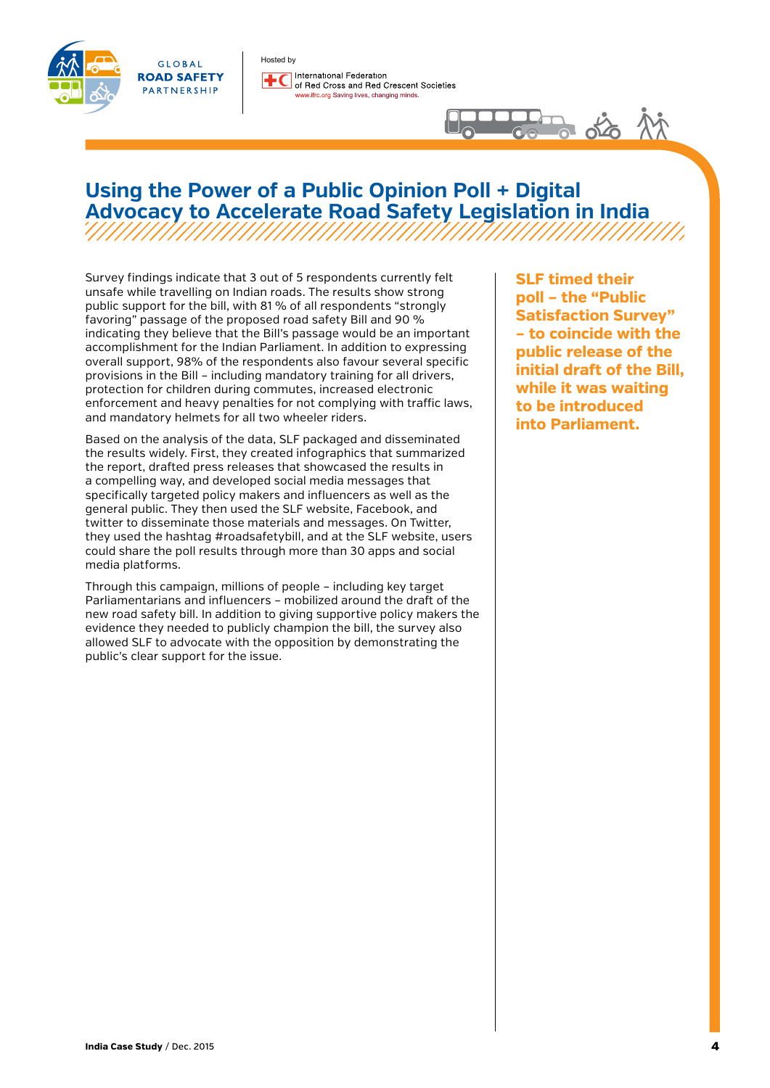



Hosted by International Federation of Red Cross and Red Crescent Societies wifrc.org Saving lives, changing minds.

### **Using the Power of a Public Opinion Poll + Digital Advocacy to Accelerate Road Safety Legislation in India** ,,,,,,,,,,,,,,,,,,,,,,,,,,,

Survey findings indicate that 3 out of 5 respondents currently felt unsafe while travelling on Indian roads. The results show strong public support for the bill, with 81 % of all respondents "strongly favoring" passage of the proposed road safety Bill and 90 % indicating they believe that the Bill's passage would be an important accomplishment for the Indian Parliament. In addition to expressing overall support, 98% of the respondents also favour several specific provisions in the Bill – including mandatory training for all drivers, protection for children during commutes, increased electronic enforcement and heavy penalties for not complying with traffic laws, and mandatory helmets for all two wheeler riders.

Based on the analysis of the data, SLF packaged and disseminated the results widely. First, they created infographics that summarized the report, drafted press releases that showcased the results in a compelling way, and developed social media messages that specifically targeted policy makers and influencers as well as the general public. They then used the SLF website, Facebook, and twitter to disseminate those materials and messages. On Twitter, they used the hashtag #roadsafetybill, and at the SLF website, users could share the poll results through more than 30 apps and social media platforms.

Through this campaign, millions of people – including key target Parliamentarians and influencers – mobilized around the draft of the new road safety bill. In addition to giving supportive policy makers the evidence they needed to publicly champion the bill, the survey also allowed SLF to advocate with the opposition by demonstrating the public's clear support for the issue.

**SLF timed their poll – the "Public Satisfaction Survey" – to coincide with the public release of the initial draft of the Bill, while it was waiting to be introduced into Parliament.** 

**Po** oto